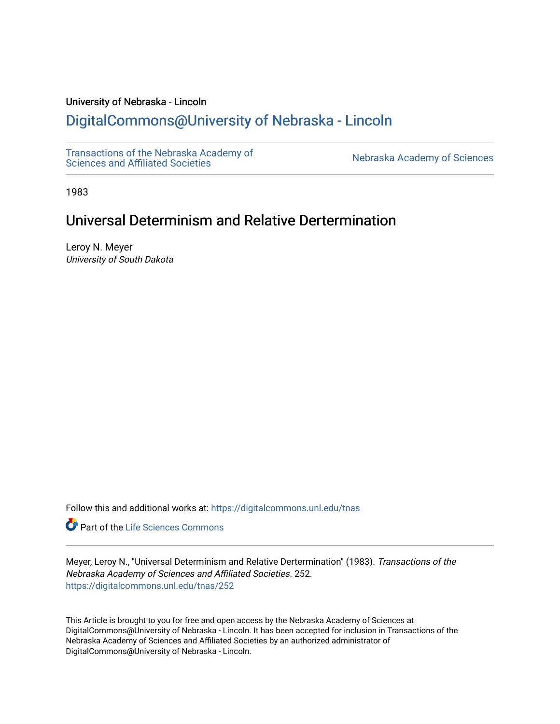# University of Nebraska - Lincoln

# [DigitalCommons@University of Nebraska - Lincoln](https://digitalcommons.unl.edu/)

[Transactions of the Nebraska Academy of](https://digitalcommons.unl.edu/tnas)  Transactions of the Nebraska Academy of Sciences<br>Sciences and Affiliated Societies

1983

# Universal Determinism and Relative Dertermination

Leroy N. Meyer University of South Dakota

Follow this and additional works at: [https://digitalcommons.unl.edu/tnas](https://digitalcommons.unl.edu/tnas?utm_source=digitalcommons.unl.edu%2Ftnas%2F252&utm_medium=PDF&utm_campaign=PDFCoverPages) 

Part of the [Life Sciences Commons](http://network.bepress.com/hgg/discipline/1016?utm_source=digitalcommons.unl.edu%2Ftnas%2F252&utm_medium=PDF&utm_campaign=PDFCoverPages) 

Meyer, Leroy N., "Universal Determinism and Relative Dertermination" (1983). Transactions of the Nebraska Academy of Sciences and Affiliated Societies. 252. [https://digitalcommons.unl.edu/tnas/252](https://digitalcommons.unl.edu/tnas/252?utm_source=digitalcommons.unl.edu%2Ftnas%2F252&utm_medium=PDF&utm_campaign=PDFCoverPages) 

This Article is brought to you for free and open access by the Nebraska Academy of Sciences at DigitalCommons@University of Nebraska - Lincoln. It has been accepted for inclusion in Transactions of the Nebraska Academy of Sciences and Affiliated Societies by an authorized administrator of DigitalCommons@University of Nebraska - Lincoln.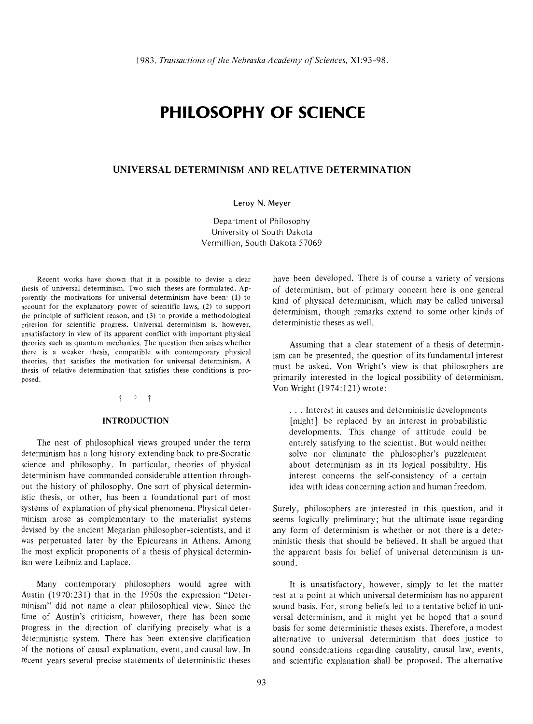# **PHILOSOPHY OF SCIENCE**

## **UNIVERSAL DETERMINISM AND RELATIVE DETERMINATION**

#### Leroy N. Meyer

Department of Philosophy University of South Dakota Vermillion, South Dakota 57069

Recent works have shown that it is possible to devise a clear thesis of universal determinism. Two such theses are formulated. Apparently the motivations for universal determinism have been: (I) to account for the explanatory power of scientific laws, (2) to support the principle of sufficient reason, and (3) to provide a methodological criterion for scientific progress. Universal determinism is, however, unsatisfactory in view of its apparent conflict with important physical theories such as quantum mechanics. The question then arises whether there is a weaker thesis, compatible with contemporary physical theories, that satisfies the motivation for universal determinism. A thesis of relative determination that satisfies these conditions is proposed.

#### t t t

#### **INTRODUCTION**

The nest of philosophical views grouped under the term determinism has a long history extending back to pre-Socratic science and philosophy. In particular, theories of physical determinism have commanded considerable attention throughout the history of philosophy. One sort of physical deterministic thesis, or other, has been a foundational part of most systems of explanation of physical phenomena. Physical determinism arose as complementary to the materialist systems devised by the ancient Megarian philosopher-scientists, and it was perpetuated later by the Epicureans in Athens. Among the most explicit proponents of a thesis of physical determinism were Leibniz and Laplace.

Many contemporary philosophers would agree with Austin (1970:231) that in the 1950s the expression "Determinism" did not name a clear philosophical view. Since the time of Austin's criticism, however, there has been some progress in the direction of clarifying precisely what is a deterministic system. There has been extensive clarification of the notions of causal explanation, event, and causal law. In recent years several precise statements of deterministic theses have been developed. There is of course a variety of versions of determinism, but of primary concern here is one general kind of physical determinism, which may be called universal determinism, though remarks extend to some other kinds of deterministic theses as well.

Assuming that a clear statement of a thesis of determinism can be presented, the question of its fundamental interest must be asked. Von Wright's view is that philosophers are primarily interested in the logical possibility of determinism. Von Wright (1974:121) wrote:

... Interest in causes and deterministic developments [might] be replaced by an interest in probabilistic developments. This change of attitude could be entirely satisfying to the scientist. But would neither solve nor eliminate the philosopher's puzzlement about determinism as in its logical possibility. His interest concerns the self-consistency of a certain idea with ideas concerning action and human freedom.

Surely, philosophers are interested in this question, and it seems logically preliminary; but the ultimate issue regarding any form of determinism is whether or not there is a deterministic thesis that should be believed. It shall be argued that the apparent basis for belief of universal determinism is unsound.

It is unsatisfactory, however, simply to let the matter rest at a point at which universal determinism has no apparent sound basis. For, strong beliefs led to a tentative belief in universal determinism, and it might yet be hoped that a sound basis for some deterministic theses exists. Therefore, a modest alternative to universal determinism that does justice to sound considerations regarding causality, causal law, events, and scientific explanation shall be proposed. The alternative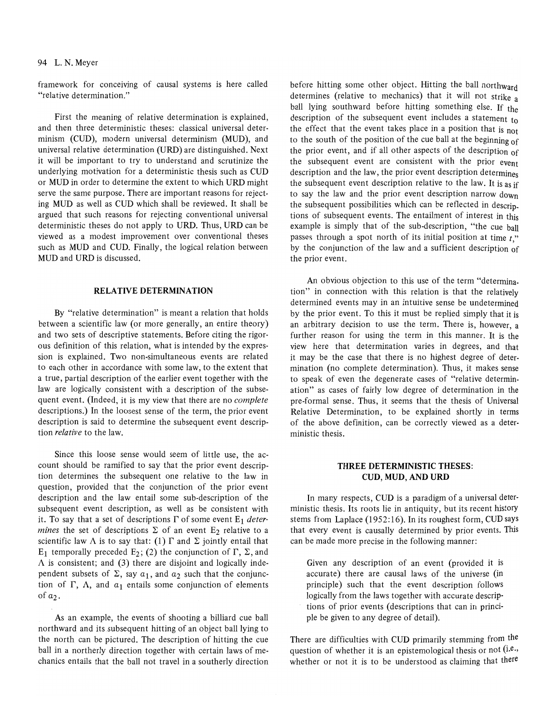#### 94 L. N. Meyer

framework for conceiving of causal systems is here called "relative determination."

First the meaning of relative determination is explained, and then three deterministic theses: classical universal determinism (CUD), modern universal determinism (MUD), and universal relative determination (URD) are distinguished. Next it will be important to try to understand and scrutinize the underlying motivation for a deterministic thesis such as CUD or MUD in order to determine the extent to which URD might serve the same purpose. There are important reasons for rejecting MUD as well as CUD which shall be reviewed. It shall be argued that such reasons for rejecting conventional universal deterministic theses do not apply to URD. Thus, URD can be viewed as a modest improvement over conventional theses such as MUD and CUD. Finally, the logical relation between MUD and URD is discussed.

## RELATNE DETERMINATION

By "relative determination" is meant a relation that holds between a scientific law (or more generally, an entire theory) and two sets of descriptive statements. Before citing the rigor· ous definition of this relation, what is intended by the expres· sion is explained. Two non-simultaneous events are related to each other in accordance with some law, to the extent that a true, partial description of the earlier event together with the law are logically consistent with a description of the subsequent event. (Indeed, it is my view that there are no *complete*  descriptions.) In the loosest sense of the term, the prior event description is said to determine the subsequent event description *relative* to the law.

Since this loose sense would seem of little use, the account should be ramified to say that the prior event description determines the subsequent one relative to the law in question, provided that the conjunction of the prior event description and the law entail some sub-description of the subsequent event description, as well as be consistent with it. To say that a set of descriptions  $\Gamma$  of some event  $E_1$  *determines* the set of descriptions  $\Sigma$  of an event  $E_2$  relative to a scientific law  $\Lambda$  is to say that: (1)  $\Gamma$  and  $\Sigma$  jointly entail that  $E_1$  temporally preceded  $E_2$ ; (2) the conjunction of  $\Gamma$ ,  $\Sigma$ , and  $\Lambda$  is consistent; and (3) there are disjoint and logically independent subsets of  $\Sigma$ , say  $a_1$ , and  $a_2$  such that the conjunction of  $\Gamma$ ,  $\Lambda$ , and  $a_1$  entails some conjunction of elements of  $a_2$ .

As an example, the events of shooting a billiard cue ball northward and its subsequent hitting of an object ball lying to the north can be pictured. The description of hitting the cue ball in a northerly direction together with certain laws of mechanics entails that the ball not travel in a southerly direction before hitting some other object. Hitting the ball northward determines (relative to mechanics) that it will not strike a ball lying southward before hitting something else. If the description of the subsequent event includes a statement to the effect that the event takes place in a position that is not to the south of the position of the cue ball at the beginning of the prior event, and if all other aspects of the description of the subsequent event are consistent with the prior event description and the law, the prior event description determines the subsequent event description relative to the law. It is as if to say the law and the prior event description narrow down the subsequent possibilities which can be reflected in descriptions of subsequent events. The entailment of interest in this example is simply that of the sub-description, "the cue ball passes through a spot north of its initial position at time *t,"*  by the conjunction of the law and a sufficient description of the prior event.

An obvious objection to this use of the term "determina. tion" in connection with this relation is that the relatively determined events may in an intuitive sense be undetermined by the prior event. To this it must be replied simply that it is an arbitrary decision to use the term. There is, however, a further reason for using the term in this manner. It is the view here that determination varies in degrees, and that it may be the case that there is no highest degree of deter· mination (no complete determination). Thus, it makes sense to speak of even the degenerate cases of "relative determination" as cases of fairly low degree of determination in the pre-formal sense. Thus, it seems that the thesis of Universal Relative Determination, to be explained shortly in terms of the above definition, can be correctly viewed as a deterministic thesis.

### THREE DETERMINISTIC THESES: CUD, MUD, AND URD

In many respects, CUD is a paradigm of a universal deterministic thesis. Its roots lie in antiquity, but its recent history stems from Laplace (1952:16). In its roughest form, CUD says that every event is causally determined by prior events. This can be made more precise in the following manner:

Given any description of an event (provided it is accurate) there are causal laws of the universe (in principle) such that the event description follows logically from the laws together with accurate descriptions of prior events (descriptions that can in principle be given to any degree of detail).

There are difficulties with CUD primarily stemming from the question of whether it is an epistemological thesis or not (i.e., whether or not it is to be understood as claiming that there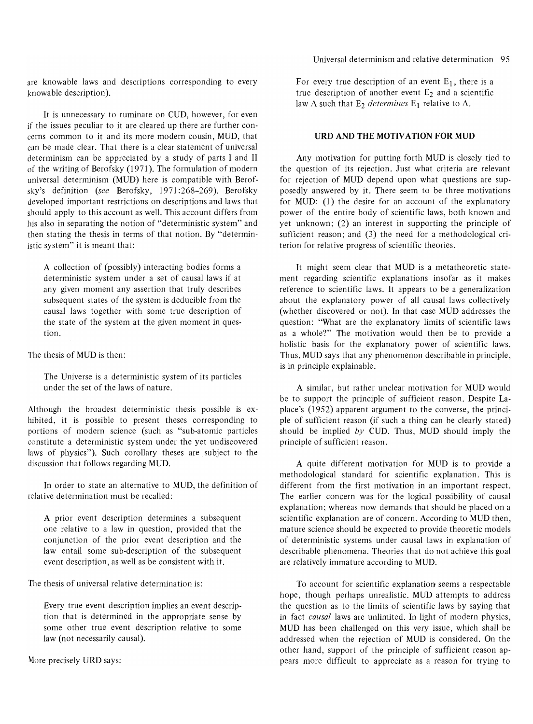are knowable laws and descriptions corresponding to every knowable description).

It is unnecessary to ruminate on CUD, however, for even if the issues peculiar to it are cleared up there are further concerns common to it and its more modern cousin, MUD, that can be made clear. That there is a clear statement of universal determinism can be appreciated by a study of parts I and II of the writing of Berofsky (1971). The formulation of modern universal determinism (MUD) here is compatible with Berofsky's definition *(see* Berofsky, 1971 :268-269). Berofsky developed important restrictions on descriptions and laws that should apply to this account as well. This account differs from his also in separating the notion of "deterministic system" and then stating the thesis in terms of that notion. By "deterministic system" it is meant that:

A collection of (possibly) interacting bodies forms a deterministic system under a set of causal laws if at any given moment any assertion that truly describes subsequent states of the system is deducible from the causal laws together with some true description of the state of the system at the given moment in question.

The thesis of MUD is then:

The Universe is a deterministic system of its particles under the set of the laws of nature.

Although the broadest deterministic thesis possible is exhibited, it is possible to present theses corresponding to portions of modern science (such as "sub-atomic particles constitute a deterministic system under the yet undiscovered laws of physics"). Such corollary theses are subject to the discussion that follows regarding MUD.

In order to state an alternative to MUD, the definition of relative determination must be recalled:

A prior event description determines a subsequent one relative to a law in question, provided that the conjunction of the prior event description and the law entail some sub-description of the subsequent event description, as well as be consistent with it.

The thesis of universal relative determination is:

Every true event description implies an event description that is determined in the appropriate sense by some other true event description relative to some law (not necessarily causal).

More precisely URD says:

Universal determinism and relative determination 95

For every true description of an event  $E_1$ , there is a true description of another event  $E_2$  and a scientific law  $\Lambda$  such that E<sub>2</sub> *determines* E<sub>1</sub> relative to  $\Lambda$ .

### URD AND THE MOTIVATION FOR MUD

Any motivation for putting forth MUD is closely tied to the question of its rejection. Just what criteria are relevant for rejection of MUD depend upon what questions are supposedly answered by it. There seem to be three motivations for MUD: (1) the desire for an account of the explanatory power of the entire body of scientific laws, both known and yet unknown; (2) an interest in supporting the principle of sufficient reason; and (3) the need for a methodological criterion for relative progress of scientific theories.

It might seem clear that MUD is a metatheoretic statement regarding scientific explanations insofar as it makes reference to scientific laws. It appears to be a generalization about the explanatory power of all causal laws collectively (whether discovered or not). In that case MUD addresses the question: "What are the explanatory limits of scientific laws as a whole?" The motivation would then be to provide a holistic basis for the explanatory power of scientific laws. Thus, MUD says that any phenomenon describable in principle, is in principle explainable.

A similar, but rather unclear motivation for MUD would be to support the principle of sufficient reason. Despite Laplace's (1952) apparent argument to the converse, the principle of sufficient reason (if such a thing can be clearly stated) should be implied by CUD. Thus, MUD should imply the principle of sufficient reason.

A quite different motivation for MUD is to provide a methodological standard for scientific explanation. This is different from the first motivation in an important respect. The earlier concern was for the logical possibility of causal explanation; whereas now demands that should be placed on a scientific explanation are of concern. According to MUD then, mature science should be expected to provide theoretic models of deterministic systems under causal laws in explanation of describable phenomena. Theories that do not achieve this goal are relatively immature according to MUD.

To account for scientific explanation seems a respectable hope, though perhaps unrealistic. MUD attempts to address the question as to the limits of scientific laws by saying that in fact *causal* laws are unlimited. In light of modern physics, MUD has been challenged on this very issue, which shall be addressed when the rejection of MUD is considered. On the other hand, support of the principle of sufficient reason appears more difficult to appreciate as a reason for trying to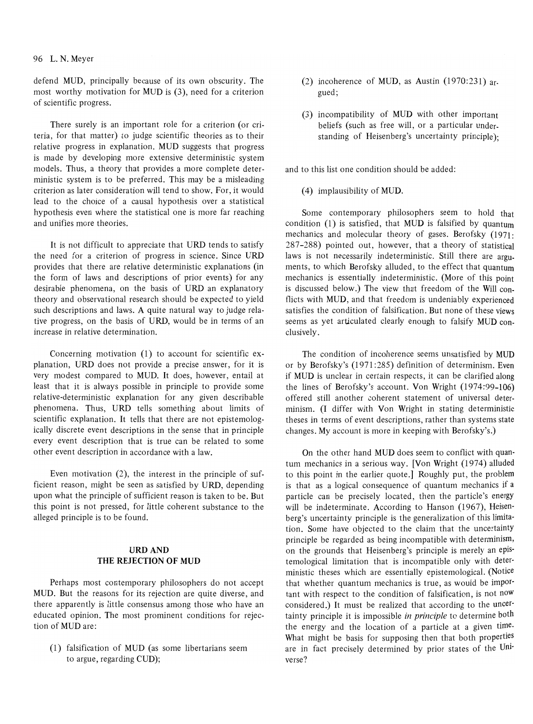### 96 L. N. Meyer

defend MUD, principally because of its own obscurity. The most worthy motivation for MUD is (3), need for a criterion of scientific progress.

There surely is an important role for a criterion (or criteria, for that matter) to judge scientific theories as to their relative progress in explanation. MUD suggests that progress is made by developing more extensive deterministic system models. Thus, a theory that provides a more complete deterministic system is to be preferred. This may be a misleading criterion as later consideration will tend to show. For, it would lead to the choice of a causal hypothesis over a statistical hypothesis even where the statistical one is more far reaching and unifies more theories.

It is not difficult to appreciate that URD tends to satisfy the need for a criterion of progress in science. Since URD provides that there are relative deterministic explanations (in the form of laws and descriptions of prior events) for any desirable phenomena, on the basis of URD an explanatory theory and observational research should be expected to yield such descriptions and laws. A quite natural way to judge relative progress, on the basis of URD, would be in terms of an increase in relative determination.

Concerning motivation (1) to account for scientific explanation, URD does not provide a precise answer, for it is very modest compared to MUD. It does, however, entail at least that it is always possible in principle to provide some relative-deterministic explanation for any given describable phenomena. Thus, URD tells something about limits of scientific explanation. It tells that there are not epistemologically discrete event descriptions in the sense that in principle every event description that is true can be related to some other event description in accordance with a law.

Even motivation (2), the interest in the principle of sufficient reason, might be seen as satisfied by URD, depending upon what the principle of sufficient reason is taken to be. But this point is not pressed, for little coherent substance to the alleged principle is to be found.

## URDAND THE REJECTION OF MUD

Perhaps most contemporary philosophers do not accept MUD. But the reasons for its rejection are quite diverse, and there apparently is little consensus among those who have an educated opinion. The most prominent conditions for rejection of MUD are:

(1) falsification of MUD (as some libertarians seem to argue, regarding CUD);

- (2) incoherence of MUD, as Austin  $(1970:231)$  argued;
- (3) incompatibility of MUD with other important beliefs (such as free will, or a particular understanding of Heisenberg's uncertainty principle);

and to this list one condition should be added:

(4) implausibility of MUD.

Some contemporary philosophers seem to hold that condition (1) is satisfied, that MUD is falsified by quantum mechanics and molecular theory of gases. Berofsky (1971: 287-288) pointed out, however, that a theory of statistical laws is not necessarily indeterministic. Still there are arguments, to which Berofsky alluded, to the effect that quantum mechanics is essentially indeterministic. (More of this point is discussed below.) The view that freedom of the Will conflicts with MUD, and that freedom is undeniably experienced satisfies the condition of falsification. But none of these views seems as yet articulated clearly enough to falsify MUD conclusively.

The condition of incoherence seems unsatisfied by MUD or by Berofsky's (1971:285) definition of determinism. Even if MUD is unclear in certain respects, it can be clarified along the lines of Berofsky's account. Von Wright (1974:99-106) offered still another coherent statement of universal determinism. (I differ with Von Wright in stating deterministic theses in terms of event descriptions, rather than systems state changes. My account is more in keeping with Berofsky's.)

On the other hand MUD does seem to conflict with quantum mechanics in a serious way. [Von Wright (1974) alluded to this point in the earlier quote.] Roughly put, the problem is that as a logical consequence of quantum mechanics if a particle can be precisely located, then the particle's energy will be indeterminate. According to Hanson (1967), Heisenberg's uncertainty principle is the generalization of this limitation. Some have objected to the claim that the uncertainty principle be regarded as being incompatible with determinism, on the grounds that Heisenberg's principle is merely an epistemological limitation that is incompatible only with deterministic theses which are essentially epistemological. (Notice that whether quantum mechanics is true, as would be important with respect to the condition of falsification, is not now considered.) It must be realized that according to the uncertainty principle it is impossible *in principle* to determine both the energy and the location of a particle at a given time. What might be basis for supposing then that both properties are in fact precisely determined by prior states of the Universe?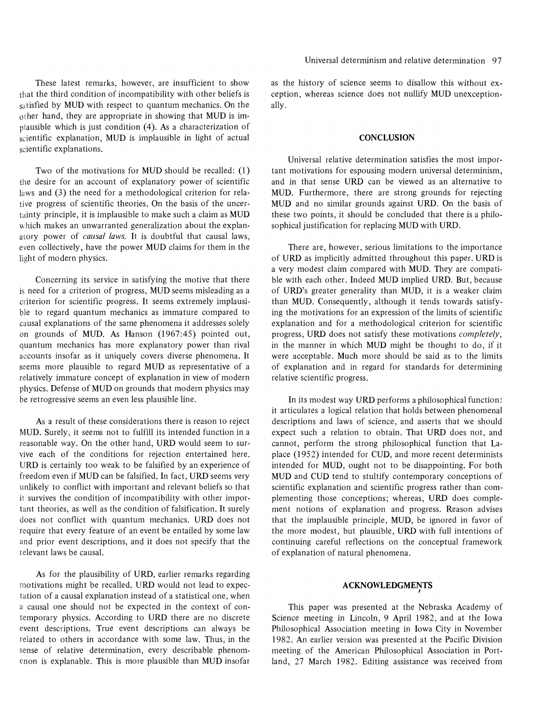These latest remarks, however, are insufficient to show that the third condition of incompatibility with other beliefs is satisfied by MUD with respect to quantum mechanics. On the other hand, they are appropriate in showing that MUD is im $p$ lausible which is just condition  $(4)$ . As a characterization of scientific explanation, MUD is implausible in light of actual scientific explanations.

Two of the motivations for MUD should be recalled: (1) the desire for an account of explanatory power of scientific laws and (3) the need for a methodological criterion for relative progress of scientific theories. On the basis of the uncertainty principle, it is implausible to make such a claim as MUD which makes an unwarranted generalization about the explanatory power of *causal laws.* It is doubtful that causal laws, even collectively, have the power MUD claims for them in the light of modern physics.

Concerning its service in satisfying the motive that there is need for a criterion of progress, MUD seems misleading as a criterion for scientific progress. It seems extremely implausible to regard quantum mechanics as immature compared to causal explanations of the same phenomena it addresses solely on grounds of MUD. As Hanson (1967:45) pointed out, quantum mechanics has more explanatory power than rival accounts insofar as it uniquely covers diverse phenomena. It seems more plausible to regard MUD as representative of a relatively immature concept of explanation in view of modern physics. Defense of MUD on grounds that modern physics may be retrogressive seems an even less plausible line.

As a result of these considerations there is reason to reject MUD. Surely, it seems not to fulfill its intended function in a reasonable way. On the other hand, URD would seem to survive each of the conditions for rejection entertained here. URD is certainly too weak to be falsified by an experience of freedom even if MUD can be falsified. In fact, URD seems very unlikely to conflict with important and relevant beliefs so that it survives the condition of incompatibility with other important theories, as well as the condition of falsification. It surely does not conflict with quantum mechanics. URD does not require that every feature of an event be entailed by some law and prior event descriptions, and it does not specify that the relevant laws be causal.

As for the plausibility of URD, earlier remarks regarding motivations might be recalled. URD would not lead to expectation of a causal explanation instead of a statistical one, when a causal one should not be expected in the context of contemporary physics. According to URD there are no discrete event descriptions. True event descriptions can always be related to others in accordance with some law. Thus, in the sense of relative determination, every describable phenomenon is explanable. This is more plausible than MUD insofar

as the history of science seems to disallow this without exception, whereas science does not nullify MUD unexceptionally.

#### **CONCLUSION**

Universal relative determination satisfies the most important motivations for espousing modern universal determinism, and in that sense URD can be viewed as an alternative to MUD. Furthermore, there are strong grounds for rejecting MUD and no similar grounds against URD. On the basis of these two points, it should be concluded that there is a philosophical justification for replacing MUD with URD.

There are, however, serious limitations to the importance of URD as implicitly admitted throughout this paper. URD is a very modest claim compared with MUD. They are compatible with each other. Indeed MUD implied URD. But, because of URD's greater generality than MUD, it is a weaker claim than MUD. Consequently, although it tends towards satisfying the motivations for an expression of the limits of scientific explanation and for a methodological criterion for scientific progress, URD does not satisfy these motivations *completely,*  in the manner in which MUD might be thought to do, if it were acceptable. Much more should be said as to the limits of explanation and in regard for standards for determining relative scientific progress.

In its modest way URD performs a philosophical function: it articulates a logical relation that holds between phenomenal descriptions and laws of science, and asserts that we should expect such a relation to obtain. That URD does not, and cannot, perform the strong philosophical function that Laplace (1952) intended for CUD, and more recent determinists intended for MUD, ought not to be disappointing. For both MUD and CUD tend to stultify contemporary conceptions of scientific explanation and scientific progress rather than complementing those conceptions; whereas, URD does complement notions of explanation and progress. Reason advises that the implausible principle, MUD, be ignored in favor of the more modest, but plausible, URD with full intentions of continuing careful reflections on the conceptual framework of explanation of natural phenomena.

# **ACKNOWLEDGMENTS**  ,

This paper was presented at the Nebraska Academy of Science meeting in Lincoln, 9 April 1982, and at the Iowa Philosophical Association meeting in Iowa City in November 1982. An earlier version was presented at the Pacific Division meeting of the American Philosophical Association in Portland, 27 March 1982. Editing assistance was received from